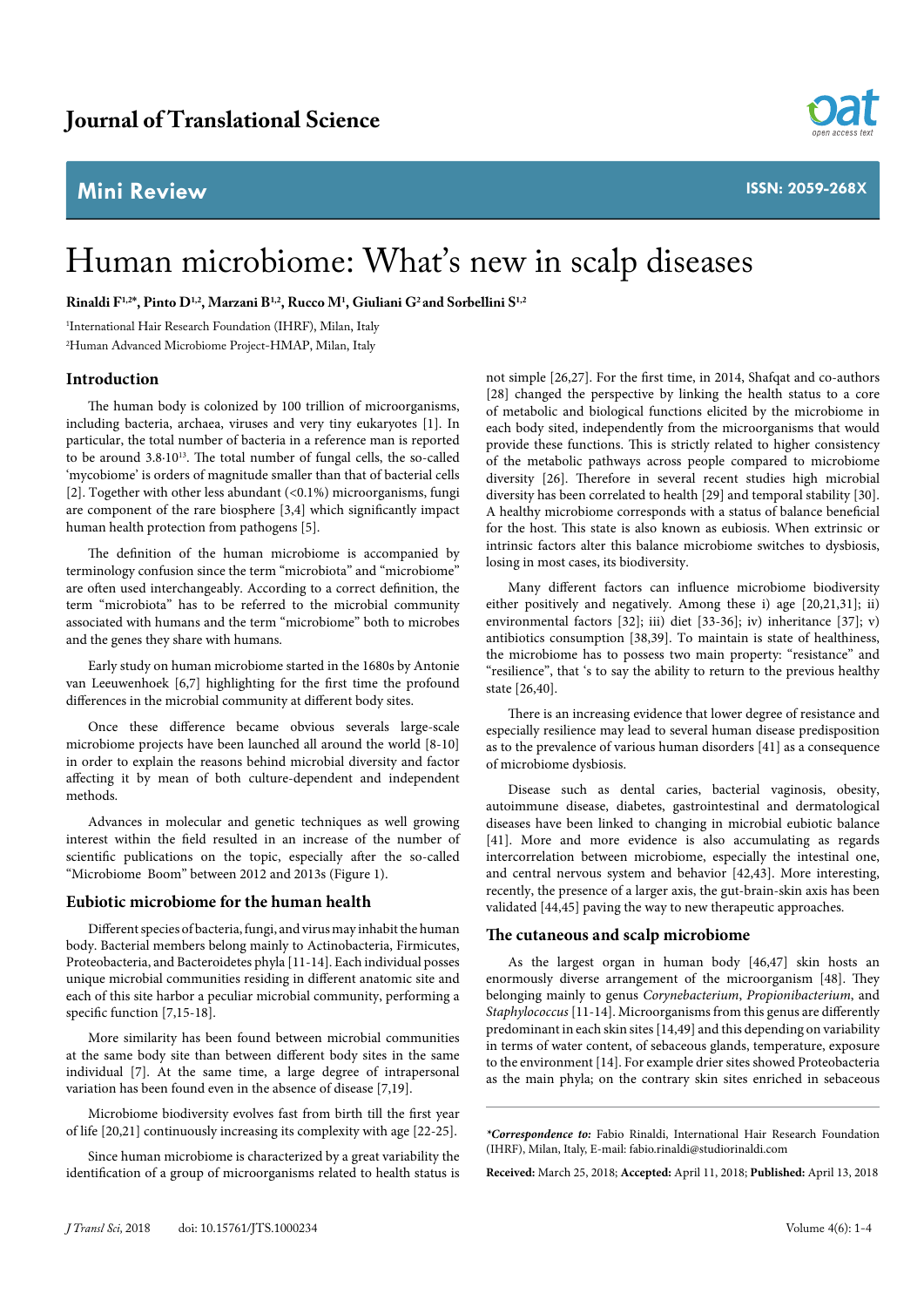## **Mini Review**



# Human microbiome: What's new in scalp diseases

**Rinaldi F1,2\*, Pinto D1,2, Marzani B1,2, Rucco M1 , Giuliani G2 and Sorbellini S1,2**

1 International Hair Research Foundation (IHRF), Milan, Italy

2 Human Advanced Microbiome Project-HMAP, Milan, Italy

#### **Introduction**

The human body is colonized by 100 trillion of microorganisms, including bacteria, archaea, viruses and very tiny eukaryotes [1]. In particular, the total number of bacteria in a reference man is reported to be around 3.8.10<sup>13</sup>. The total number of fungal cells, the so-called 'mycobiome' is orders of magnitude smaller than that of bacterial cells [2]. Together with other less abundant  $( $0.1\%$ ) microorganisms, fungi$ are component of the rare biosphere [3,4] which significantly impact human health protection from pathogens [5].

The definition of the human microbiome is accompanied by terminology confusion since the term "microbiota" and "microbiome" are often used interchangeably. According to a correct definition, the term "microbiota" has to be referred to the microbial community associated with humans and the term "microbiome" both to microbes and the genes they share with humans.

Early study on human microbiome started in the 1680s by Antonie van Leeuwenhoek [6,7] highlighting for the first time the profound differences in the microbial community at different body sites.

Once these difference became obvious severals large-scale microbiome projects have been launched all around the world [8-10] in order to explain the reasons behind microbial diversity and factor affecting it by mean of both culture-dependent and independent methods.

Advances in molecular and genetic techniques as well growing interest within the field resulted in an increase of the number of scientific publications on the topic, especially after the so-called "Microbiome Boom" between 2012 and 2013s (Figure 1).

#### **Eubiotic microbiome for the human health**

Different species of bacteria, fungi, and virus may inhabit the human body. Bacterial members belong mainly to Actinobacteria, Firmicutes, Proteobacteria, and Bacteroidetes phyla [11-14]. Each individual posses unique microbial communities residing in different anatomic site and each of this site harbor a peculiar microbial community, performing a specific function [7,15-18].

More similarity has been found between microbial communities at the same body site than between different body sites in the same individual [7]. At the same time, a large degree of intrapersonal variation has been found even in the absence of disease [7,19].

Microbiome biodiversity evolves fast from birth till the first year of life [20,21] continuously increasing its complexity with age [22-25].

Since human microbiome is characterized by a great variability the identification of a group of microorganisms related to health status is not simple [26,27]. For the first time, in 2014, Shafqat and co-authors [28] changed the perspective by linking the health status to a core of metabolic and biological functions elicited by the microbiome in each body sited, independently from the microorganisms that would provide these functions. This is strictly related to higher consistency of the metabolic pathways across people compared to microbiome diversity [26]. Therefore in several recent studies high microbial diversity has been correlated to health [29] and temporal stability [30]. A healthy microbiome corresponds with a status of balance beneficial for the host. This state is also known as eubiosis. When extrinsic or intrinsic factors alter this balance microbiome switches to dysbiosis, losing in most cases, its biodiversity.

Many different factors can influence microbiome biodiversity either positively and negatively. Among these i) age [20,21,31]; ii) environmental factors [32]; iii) diet [33-36]; iv) inheritance [37]; v) antibiotics consumption [38,39]. To maintain is state of healthiness, the microbiome has to possess two main property: "resistance" and "resilience", that 's to say the ability to return to the previous healthy state [26,40].

There is an increasing evidence that lower degree of resistance and especially resilience may lead to several human disease predisposition as to the prevalence of various human disorders [41] as a consequence of microbiome dysbiosis.

Disease such as dental caries, bacterial vaginosis, obesity, autoimmune disease, diabetes, gastrointestinal and dermatological diseases have been linked to changing in microbial eubiotic balance [41]. More and more evidence is also accumulating as regards intercorrelation between microbiome, especially the intestinal one, and central nervous system and behavior [42,43]. More interesting, recently, the presence of a larger axis, the gut-brain-skin axis has been validated [44,45] paving the way to new therapeutic approaches.

#### **The cutaneous and scalp microbiome**

As the largest organ in human body [46,47] skin hosts an enormously diverse arrangement of the microorganism [48]. They belonging mainly to genus *Corynebacterium*, *Propionibacterium*, and *Staphylococcus* [11-14]. Microorganisms from this genus are differently predominant in each skin sites [14,49] and this depending on variability in terms of water content, of sebaceous glands, temperature, exposure to the environment [14]. For example drier sites showed Proteobacteria as the main phyla; on the contrary skin sites enriched in sebaceous

*\*Correspondence to:* Fabio Rinaldi, International Hair Research Foundation (IHRF), Milan, Italy, E-mail: [fabio.rinaldi@studiorinaldi.com](mailto:fabio.rinaldi@studiorinaldi.com)

**Received:** March 25, 2018; **Accepted:** April 11, 2018; **Published:** April 13, 2018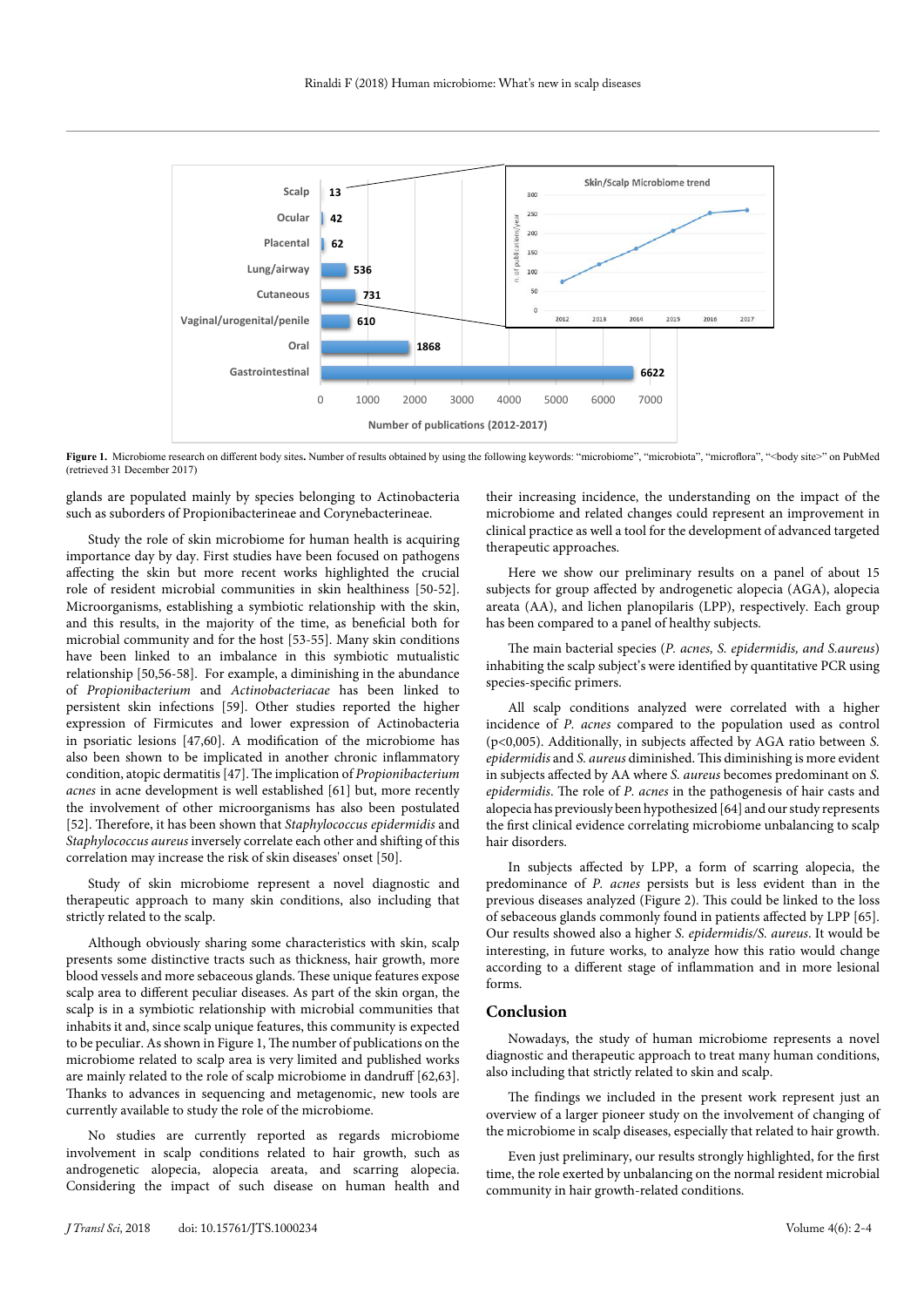

Figure 1. Microbiome research on different body sites. Number of results obtained by using the following keywords: "microbiome", "microbiota", "microflora", "<br/>body site>" on PubMed (retrieved 31 December 2017)

glands are populated mainly by species belonging to Actinobacteria such as suborders of Propionibacterineae and Corynebacterineae.

Study the role of skin microbiome for human health is acquiring importance day by day. First studies have been focused on pathogens affecting the skin but more recent works highlighted the crucial role of resident microbial communities in skin healthiness [50-52]. Microorganisms, establishing a symbiotic relationship with the skin, and this results, in the majority of the time, as beneficial both for microbial community and for the host [53-55]. Many skin conditions have been linked to an imbalance in this symbiotic mutualistic relationship [50,56-58]. For example, a diminishing in the abundance of *Propionibacterium* and *Actinobacteriacae* has been linked to persistent skin infections [59]. Other studies reported the higher expression of Firmicutes and lower expression of Actinobacteria in psoriatic lesions [47,60]. A modification of the microbiome has also been shown to be implicated in another chronic inflammatory condition, atopic dermatitis [47]. The implication of *Propionibacterium acnes* in acne development is well established [61] but, more recently the involvement of other microorganisms has also been postulated [52]. Therefore, it has been shown that *Staphylococcus epidermidis* and *Staphylococcus aureus* inversely correlate each other and shifting of this correlation may increase the risk of skin diseases' onset [50].

Study of skin microbiome represent a novel diagnostic and therapeutic approach to many skin conditions, also including that strictly related to the scalp.

Although obviously sharing some characteristics with skin, scalp presents some distinctive tracts such as thickness, hair growth, more blood vessels and more sebaceous glands. These unique features expose scalp area to different peculiar diseases. As part of the skin organ, the scalp is in a symbiotic relationship with microbial communities that inhabits it and, since scalp unique features, this community is expected to be peculiar. As shown in Figure 1, The number of publications on the microbiome related to scalp area is very limited and published works are mainly related to the role of scalp microbiome in dandruff [62,63]. Thanks to advances in sequencing and metagenomic, new tools are currently available to study the role of the microbiome.

No studies are currently reported as regards microbiome involvement in scalp conditions related to hair growth, such as androgenetic alopecia, alopecia areata, and scarring alopecia. Considering the impact of such disease on human health and

their increasing incidence, the understanding on the impact of the microbiome and related changes could represent an improvement in clinical practice as well a tool for the development of advanced targeted therapeutic approaches.

Here we show our preliminary results on a panel of about 15 subjects for group affected by androgenetic alopecia (AGA), alopecia areata (AA), and lichen planopilaris (LPP), respectively. Each group has been compared to a panel of healthy subjects.

The main bacterial species (*P. acnes, S. epidermidis, and S.aureus*) inhabiting the scalp subject's were identified by quantitative PCR using species-specific primers.

All scalp conditions analyzed were correlated with a higher incidence of *P. acnes* compared to the population used as control (p<0,005). Additionally, in subjects affected by AGA ratio between *S. epidermidis* and *S. aureus* diminished. This diminishing is more evident in subjects affected by AA where *S. aureus* becomes predominant on *S. epidermidis*. The role of *P. acnes* in the pathogenesis of hair casts and alopecia has previously been hypothesized [64] and our study represents the first clinical evidence correlating microbiome unbalancing to scalp hair disorders.

In subjects affected by LPP, a form of scarring alopecia, the predominance of *P. acnes* persists but is less evident than in the previous diseases analyzed (Figure 2). This could be linked to the loss of sebaceous glands commonly found in patients affected by LPP [65]. Our results showed also a higher *S. epidermidis/S. aureus*. It would be interesting, in future works, to analyze how this ratio would change according to a different stage of inflammation and in more lesional forms.

### **Conclusion**

Nowadays, the study of human microbiome represents a novel diagnostic and therapeutic approach to treat many human conditions, also including that strictly related to skin and scalp.

The findings we included in the present work represent just an overview of a larger pioneer study on the involvement of changing of the microbiome in scalp diseases, especially that related to hair growth.

Even just preliminary, our results strongly highlighted, for the first time, the role exerted by unbalancing on the normal resident microbial community in hair growth-related conditions.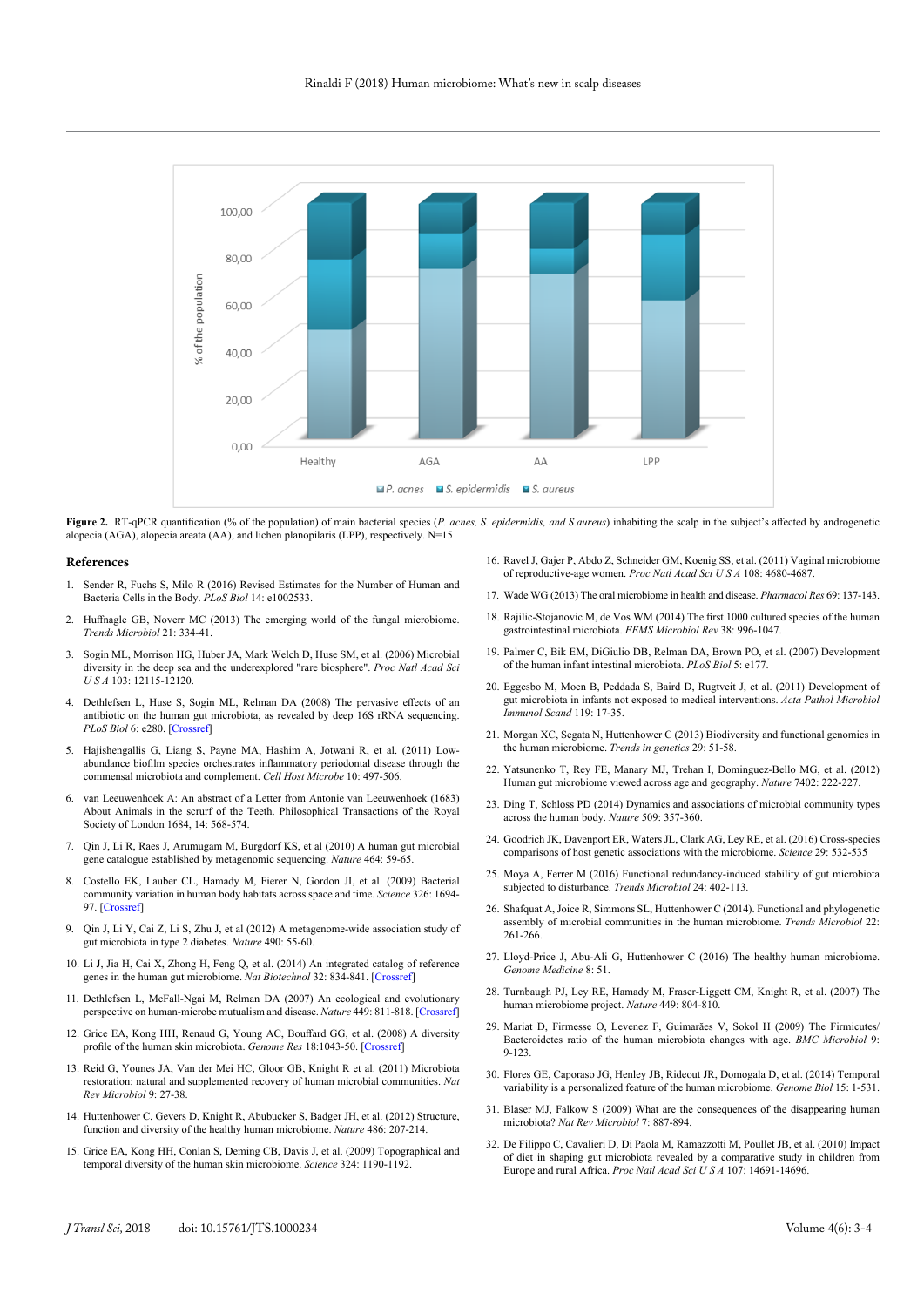

**Figure 2.** RT-qPCR quantification (% of the population) of main bacterial species (*P. acnes, S. epidermidis, and S.aureus*) inhabiting the scalp in the subject's affected by androgenetic alopecia (AGA), alopecia areata (AA), and lichen planopilaris (LPP), respectively. N=15

#### **References**

- 1. Sender R, Fuchs S, Milo R (2016) Revised Estimates for the Number of Human and Bacteria Cells in the Body. *PLoS Biol* 14: e1002533.
- 2. Huffnagle GB, Noverr MC (2013) The emerging world of the fungal microbiome. *Trends Microbiol* 21: 334-41.
- 3. Sogin ML, Morrison HG, Huber JA, Mark Welch D, Huse SM, et al. (2006) Microbial diversity in the deep sea and the underexplored "rare biosphere". *Proc Natl Acad Sci U S A* 103: 12115-12120.
- 4. Dethlefsen L, Huse S, Sogin ML, Relman DA (2008) The pervasive effects of an antibiotic on the human gut microbiota, as revealed by deep 16S rRNA sequencing. *PLoS Biol* 6: e280. [[Crossref](https://www.ncbi.nlm.nih.gov/pubmed/19018661)]
- 5. Hajishengallis G, Liang S, Payne MA, Hashim A, Jotwani R, et al. (2011) Lowabundance biofilm species orchestrates inflammatory periodontal disease through the commensal microbiota and complement. *Cell Host Microbe* 10: 497-506.
- 6. van Leeuwenhoek A: An abstract of a Letter from Antonie van Leeuwenhoek (1683) About Animals in the scrurf of the Teeth. Philosophical Transactions of the Royal Society of London 1684, 14: 568-574.
- 7. Qin J, Li R, Raes J, Arumugam M, Burgdorf KS, et al (2010) A human gut microbial gene catalogue established by metagenomic sequencing. *Nature* 464: 59-65.
- 8. Costello EK, Lauber CL, Hamady M, Fierer N, Gordon JI, et al. (2009) Bacterial community variation in human body habitats across space and time. *Science* 326: 1694- 97. [[Crossref](https://www.ncbi.nlm.nih.gov/pubmed/19892944)]
- 9. Qin J, Li Y, Cai Z, Li S, Zhu J, et al (2012) A metagenome-wide association study of gut microbiota in type 2 diabetes. *Nature* 490: 55-60.
- 10. Li J, Jia H, Cai X, Zhong H, Feng Q, et al. (2014) An integrated catalog of reference genes in the human gut microbiome. *Nat Biotechnol* 32: 834-841. [[Crossref](https://www.ncbi.nlm.nih.gov/pubmed/24997786)]
- 11. Dethlefsen L, McFall-Ngai M, Relman DA (2007) An ecological and evolutionary perspective on human-microbe mutualism and disease. *Nature* 449: 811-818. [[Crossref](https://www.ncbi.nlm.nih.gov/pubmed/17943117)]
- 12. Grice EA, Kong HH, Renaud G, Young AC, Bouffard GG, et al. (2008) A diversity profile of the human skin microbiota. *Genome Res* 18:1043-50. [[Crossref](https://www.ncbi.nlm.nih.gov/pubmed/18502944)]
- 13. Reid G, Younes JA, Van der Mei HC, Gloor GB, Knight R et al. (2011) Microbiota restoration: natural and supplemented recovery of human microbial communities. *Nat Rev Microbiol* 9: 27-38.
- 14. Huttenhower C, Gevers D, Knight R, Abubucker S, Badger JH, et al. (2012) Structure, function and diversity of the healthy human microbiome. *Nature* 486: 207-214.
- 15. Grice EA, Kong HH, Conlan S, Deming CB, Davis J, et al. (2009) Topographical and temporal diversity of the human skin microbiome. *Science* 324: 1190-1192.
- 16. Ravel J, Gajer P, Abdo Z, Schneider GM, Koenig SS, et al. (2011) Vaginal microbiome of reproductive-age women. *Proc Natl Acad Sci U S A* 108: 4680-4687.
- 17. Wade WG (2013) The oral microbiome in health and disease. *Pharmacol Res* 69: 137-143.
- 18. Rajilic-Stojanovic M, de Vos WM (2014) The first 1000 cultured species of the human gastrointestinal microbiota. *FEMS Microbiol Rev* 38: 996-1047.
- 19. Palmer C, Bik EM, DiGiulio DB, Relman DA, Brown PO, et al. (2007) Development of the human infant intestinal microbiota. *PLoS Biol* 5: e177.
- 20. Eggesbo M, Moen B, Peddada S, Baird D, Rugtveit J, et al. (2011) Development of gut microbiota in infants not exposed to medical interventions. *Acta Pathol Microbiol Immunol Scand* 119: 17-35.
- 21. Morgan XC, Segata N, Huttenhower C (2013) Biodiversity and functional genomics in the human microbiome. *Trends in genetics* 29: 51-58.
- 22. Yatsunenko T, Rey FE, Manary MJ, Trehan I, Dominguez-Bello MG, et al. (2012) Human gut microbiome viewed across age and geography. *Nature* 7402: 222-227.
- 23. Ding T, Schloss PD (2014) Dynamics and associations of microbial community types across the human body. *Nature* 509: 357-360.
- 24. Goodrich JK, Davenport ER, Waters JL, Clark AG, Ley RE, et al. (2016) Cross-species comparisons of host genetic associations with the microbiome. *Science* 29: 532-535
- 25. Moya A, Ferrer M (2016) Functional redundancy-induced stability of gut microbiota subjected to disturbance. *Trends Microbiol* 24: 402-113.
- 26. Shafquat A, Joice R, Simmons SL, Huttenhower C (2014). Functional and phylogenetic assembly of microbial communities in the human microbiome. *Trends Microbiol* 22: 261-266.
- 27. Lloyd-Price J, Abu-Ali G, Huttenhower C (2016) The healthy human microbiome. *Genome Medicine* 8: 51[.](https://genomemedicine.biomedcentral.com/articles/10.1186/s13073-016-0307-y#Aff1)
- 28. Turnbaugh PJ, Ley RE, Hamady M, Fraser-Liggett CM, Knight R, et al. (2007) The human microbiome project. *Nature* 449: 804-810.
- 29. Mariat D, Firmesse O, Levenez F, Guimarăes V, Sokol H (2009) The Firmicutes/ Bacteroidetes ratio of the human microbiota changes with age. *BMC Microbiol* 9: 9-123.
- 30. Flores GE, Caporaso JG, Henley JB, Rideout JR, Domogala D, et al. (2014) Temporal variability is a personalized feature of the human microbiome. *Genome Biol* 15: 1-531.
- 31. Blaser MJ, Falkow S (2009) What are the consequences of the disappearing human microbiota? *Nat Rev Microbiol* 7: 887-894.
- 32. De Filippo C, Cavalieri D, Di Paola M, Ramazzotti M, Poullet JB, et al. (2010) Impact of diet in shaping gut microbiota revealed by a comparative study in children from Europe and rural Africa. *Proc Natl Acad Sci U S A* 107: 14691-14696.